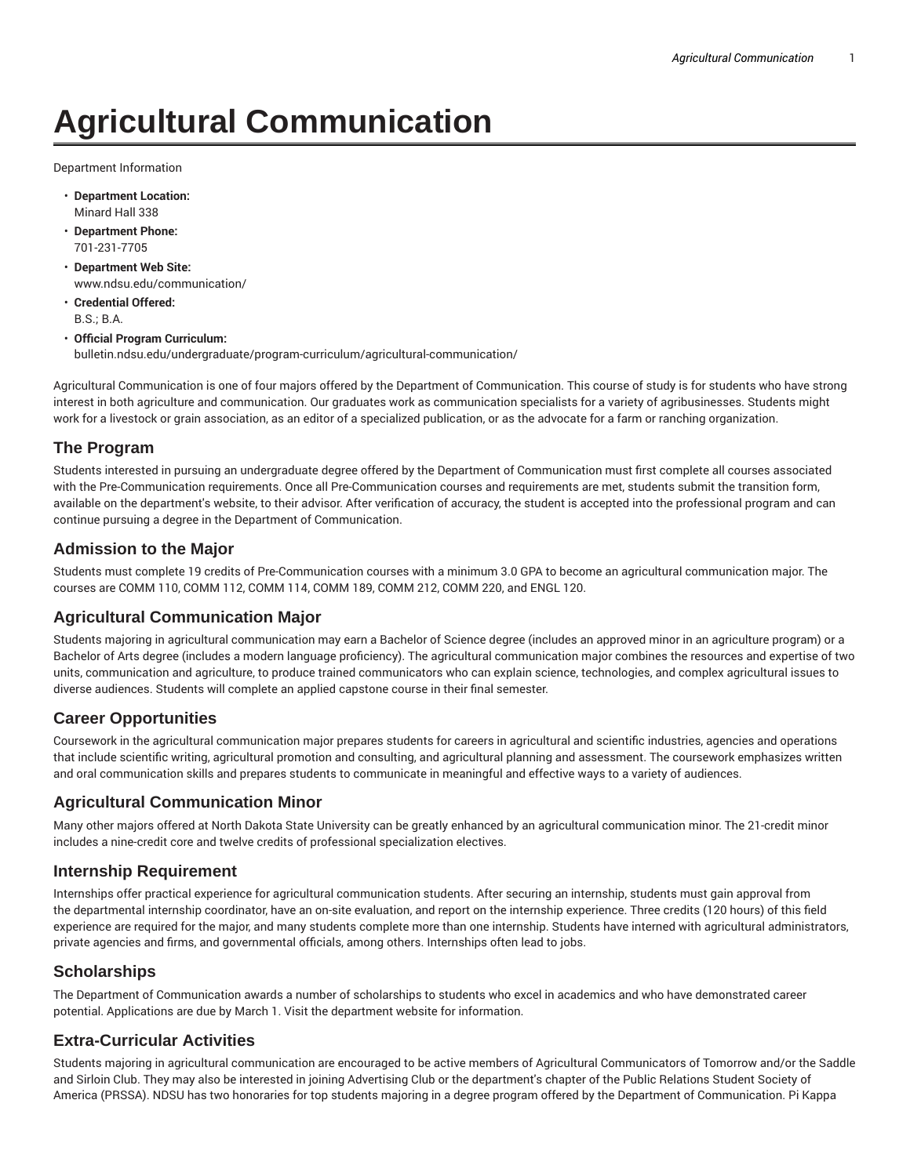# **Agricultural Communication**

Department Information

- **Department Location:** Minard Hall 338
- **Department Phone:** 701-231-7705
- **Department Web Site:** www.ndsu.edu/communication/
- **Credential Offered:** B.S.; B.A.
- **Official Program Curriculum:** bulletin.ndsu.edu/undergraduate/program-curriculum/agricultural-communication/

Agricultural Communication is one of four majors offered by the Department of Communication. This course of study is for students who have strong interest in both agriculture and communication. Our graduates work as communication specialists for a variety of agribusinesses. Students might work for a livestock or grain association, as an editor of a specialized publication, or as the advocate for a farm or ranching organization.

## **The Program**

Students interested in pursuing an undergraduate degree offered by the Department of Communication must first complete all courses associated with the Pre-Communication requirements. Once all Pre-Communication courses and requirements are met, students submit the transition form, available on the department's website, to their advisor. After verification of accuracy, the student is accepted into the professional program and can continue pursuing a degree in the Department of Communication.

## **Admission to the Major**

Students must complete 19 credits of Pre-Communication courses with a minimum 3.0 GPA to become an agricultural communication major. The courses are COMM 110, COMM 112, COMM 114, COMM 189, COMM 212, COMM 220, and ENGL 120.

## **Agricultural Communication Major**

Students majoring in agricultural communication may earn a Bachelor of Science degree (includes an approved minor in an agriculture program) or a Bachelor of Arts degree (includes a modern language proficiency). The agricultural communication major combines the resources and expertise of two units, communication and agriculture, to produce trained communicators who can explain science, technologies, and complex agricultural issues to diverse audiences. Students will complete an applied capstone course in their final semester.

## **Career Opportunities**

Coursework in the agricultural communication major prepares students for careers in agricultural and scientific industries, agencies and operations that include scientific writing, agricultural promotion and consulting, and agricultural planning and assessment. The coursework emphasizes written and oral communication skills and prepares students to communicate in meaningful and effective ways to a variety of audiences.

#### **Agricultural Communication Minor**

Many other majors offered at North Dakota State University can be greatly enhanced by an agricultural communication minor. The 21-credit minor includes a nine-credit core and twelve credits of professional specialization electives.

#### **Internship Requirement**

Internships offer practical experience for agricultural communication students. After securing an internship, students must gain approval from the departmental internship coordinator, have an on-site evaluation, and report on the internship experience. Three credits (120 hours) of this field experience are required for the major, and many students complete more than one internship. Students have interned with agricultural administrators, private agencies and firms, and governmental officials, among others. Internships often lead to jobs.

## **Scholarships**

The Department of Communication awards a number of scholarships to students who excel in academics and who have demonstrated career potential. Applications are due by March 1. Visit the department website for information.

## **Extra-Curricular Activities**

Students majoring in agricultural communication are encouraged to be active members of Agricultural Communicators of Tomorrow and/or the Saddle and Sirloin Club. They may also be interested in joining Advertising Club or the department's chapter of the Public Relations Student Society of America (PRSSA). NDSU has two honoraries for top students majoring in a degree program offered by the Department of Communication. Pi Kappa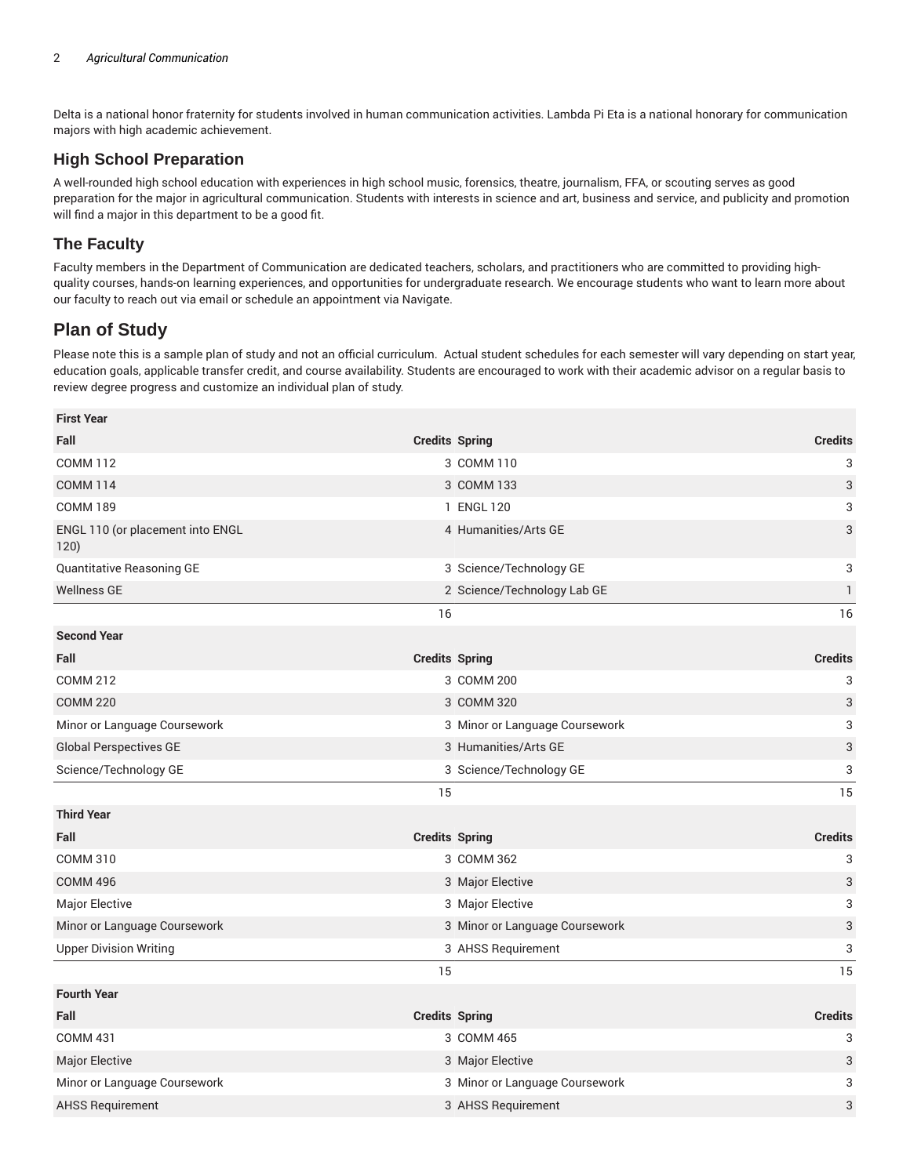Delta is a national honor fraternity for students involved in human communication activities. Lambda Pi Eta is a national honorary for communication majors with high academic achievement.

## **High School Preparation**

A well-rounded high school education with experiences in high school music, forensics, theatre, journalism, FFA, or scouting serves as good preparation for the major in agricultural communication. Students with interests in science and art, business and service, and publicity and promotion will find a major in this department to be a good fit.

## **The Faculty**

Faculty members in the Department of Communication are dedicated teachers, scholars, and practitioners who are committed to providing highquality courses, hands-on learning experiences, and opportunities for undergraduate research. We encourage students who want to learn more about our faculty to reach out via email or schedule an appointment via Navigate.

## **Plan of Study**

**First Year**

Please note this is a sample plan of study and not an official curriculum. Actual student schedules for each semester will vary depending on start year, education goals, applicable transfer credit, and course availability. Students are encouraged to work with their academic advisor on a regular basis to review degree progress and customize an individual plan of study.

| <b>First Year</b>                        |                                |                           |
|------------------------------------------|--------------------------------|---------------------------|
| Fall                                     | <b>Credits Spring</b>          | <b>Credits</b>            |
| <b>COMM 112</b>                          | 3 COMM 110                     | 3                         |
| <b>COMM 114</b>                          | 3 COMM 133                     | 3                         |
| <b>COMM 189</b>                          | 1 ENGL 120                     | 3                         |
| ENGL 110 (or placement into ENGL<br>120) | 4 Humanities/Arts GE           | 3                         |
| Quantitative Reasoning GE                | 3 Science/Technology GE        | 3                         |
| <b>Wellness GE</b>                       | 2 Science/Technology Lab GE    | 1                         |
|                                          | 16                             | 16                        |
| <b>Second Year</b>                       |                                |                           |
| Fall                                     | <b>Credits Spring</b>          | <b>Credits</b>            |
| <b>COMM 212</b>                          | 3 COMM 200                     | 3                         |
| <b>COMM 220</b>                          | 3 COMM 320                     | 3                         |
| Minor or Language Coursework             | 3 Minor or Language Coursework | 3                         |
| <b>Global Perspectives GE</b>            | 3 Humanities/Arts GE           | $\ensuremath{\mathsf{3}}$ |
| Science/Technology GE                    | 3 Science/Technology GE        | 3                         |
|                                          | 15                             | 15                        |
| <b>Third Year</b>                        |                                |                           |
| Fall                                     | <b>Credits Spring</b>          | <b>Credits</b>            |
| <b>COMM 310</b>                          | 3 COMM 362                     | 3                         |
| <b>COMM 496</b>                          | 3 Major Elective               | $\ensuremath{\mathsf{3}}$ |
| Major Elective                           | 3 Major Elective               | 3                         |
| Minor or Language Coursework             | 3 Minor or Language Coursework | 3                         |
| <b>Upper Division Writing</b>            | 3 AHSS Requirement             | 3                         |
|                                          | 15                             | 15                        |
| <b>Fourth Year</b>                       |                                |                           |
| Fall                                     | <b>Credits Spring</b>          | <b>Credits</b>            |
| <b>COMM 431</b>                          | 3 COMM 465                     | 3                         |
| <b>Major Elective</b>                    | 3 Major Elective               | 3                         |
| Minor or Language Coursework             | 3 Minor or Language Coursework | 3                         |
| <b>AHSS Requirement</b>                  | 3 AHSS Requirement             | 3                         |